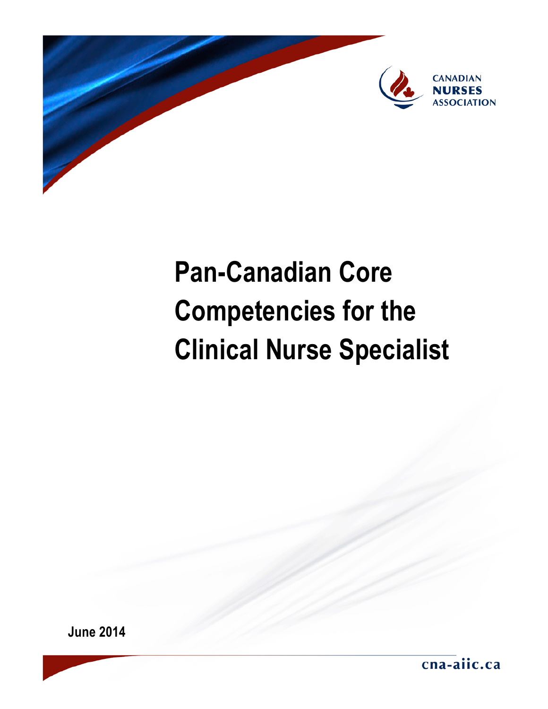

# **Pan-Canadian Core Competencies for the Clinical Nurse Specialist**

**June 2014**

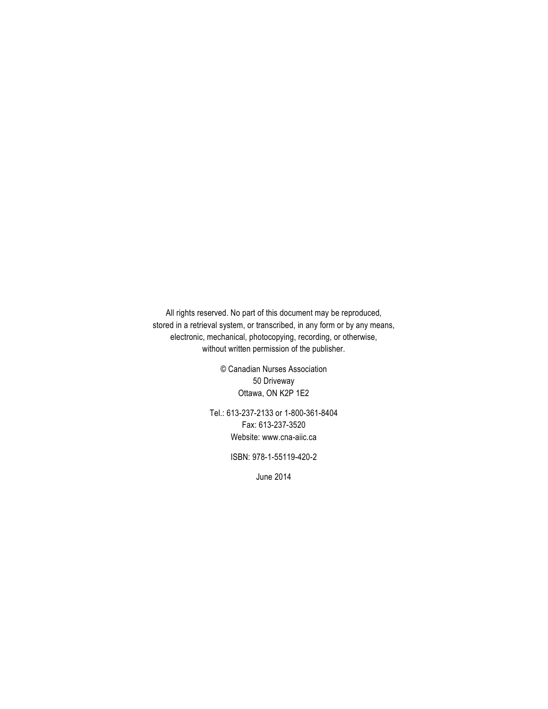All rights reserved. No part of this document may be reproduced, stored in a retrieval system, or transcribed, in any form or by any means, electronic, mechanical, photocopying, recording, or otherwise, without written permission of the publisher.

> © Canadian Nurses Association 50 Driveway Ottawa, ON K2P 1E2

Tel.: 613-237-2133 or 1-800-361-8404 Fax: 613-237-3520 Website: [www.cna-aiic.ca](http://www.cna-aiic.ca/)

ISBN: 978-1-55119-420-2

June 2014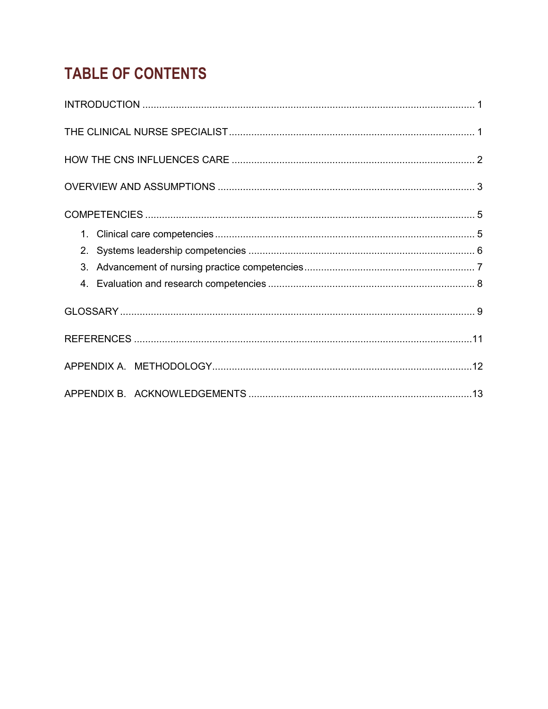## **TABLE OF CONTENTS**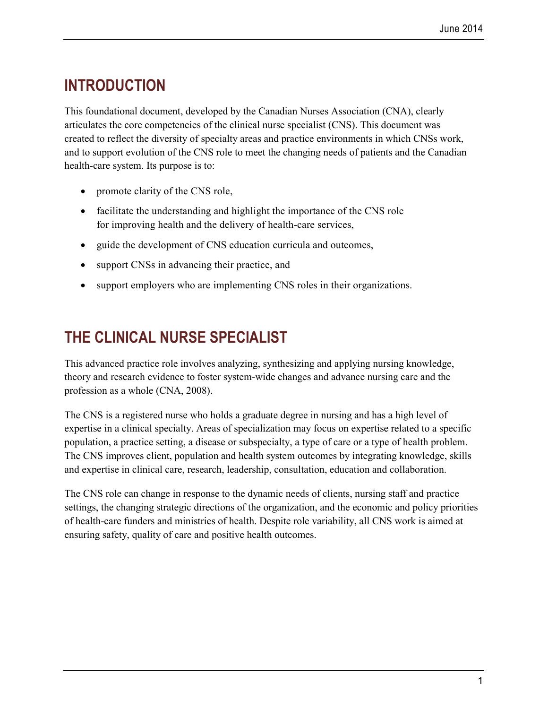## **INTRODUCTION**

This foundational document, developed by the Canadian Nurses Association (CNA), clearly articulates the core competencies of the clinical nurse specialist (CNS). This document was created to reflect the diversity of specialty areas and practice environments in which CNSs work, and to support evolution of the CNS role to meet the changing needs of patients and the Canadian health-care system. Its purpose is to:

- promote clarity of the CNS role,
- facilitate the understanding and highlight the importance of the CNS role for improving health and the delivery of health-care services,
- guide the development of CNS education curricula and outcomes,
- support CNSs in advancing their practice, and
- support employers who are implementing CNS roles in their organizations.

## **THE CLINICAL NURSE SPECIALIST**

This advanced practice role involves analyzing, synthesizing and applying nursing knowledge, theory and research evidence to foster system-wide changes and advance nursing care and the profession as a whole (CNA, 2008).

The CNS is a registered nurse who holds a graduate degree in nursing and has a high level of expertise in a clinical specialty. Areas of specialization may focus on expertise related to a specific population, a practice setting, a disease or subspecialty, a type of care or a type of health problem. The CNS improves client, population and health system outcomes by integrating knowledge, skills and expertise in clinical care, research, leadership, consultation, education and collaboration.

The CNS role can change in response to the dynamic needs of clients, nursing staff and practice settings, the changing strategic directions of the organization, and the economic and policy priorities of health-care funders and ministries of health. Despite role variability, all CNS work is aimed at ensuring safety, quality of care and positive health outcomes.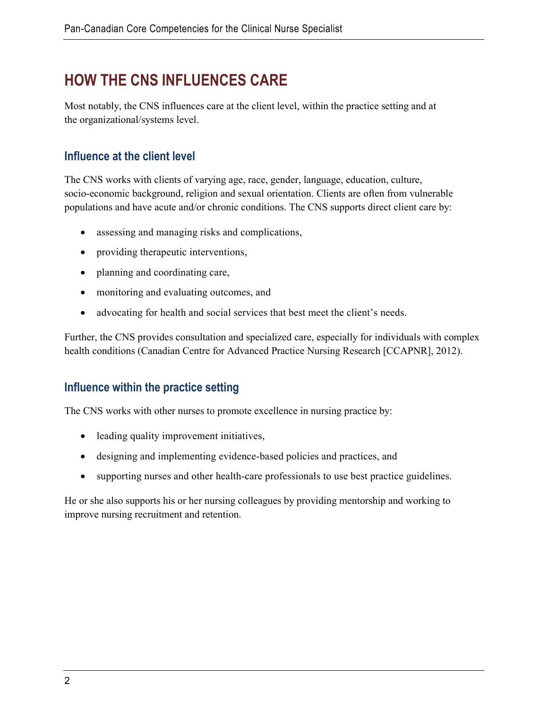## **HOW THE CNS INFLUENCES CARE**

Most notably, the CNS influences care at the client level, within the practice setting and at the organizational/systems level.

#### **Influence at the client level**

The CNS works with clients of varying age, race, gender, language, education, culture, socio-economic background, religion and sexual orientation. Clients are often from vulnerable populations and have acute and/or chronic conditions. The CNS supports direct client care by:

- assessing and managing risks and complications,
- providing the rapeutic interventions,
- planning and coordinating care,
- monitoring and evaluating outcomes, and
- advocating for health and social services that best meet the client's needs.

Further, the CNS provides consultation and specialized care, especially for individuals with complex health conditions (Canadian Centre for Advanced Practice Nursing Research [CCAPNR], 2012).

#### **Influence within the practice setting**

The CNS works with other nurses to promote excellence in nursing practice by:

- leading quality improvement initiatives,
- designing and implementing evidence-based policies and practices, and
- supporting nurses and other health-care professionals to use best practice guidelines.

He or she also supports his or her nursing colleagues by providing mentorship and working to improve nursing recruitment and retention.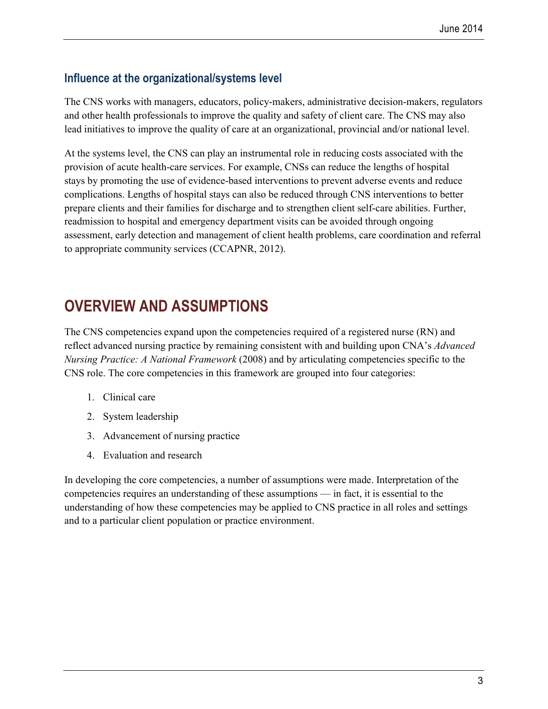#### **Influence at the organizational/systems level**

The CNS works with managers, educators, policy-makers, administrative decision-makers, regulators and other health professionals to improve the quality and safety of client care. The CNS may also lead initiatives to improve the quality of care at an organizational, provincial and/or national level.

At the systems level, the CNS can play an instrumental role in reducing costs associated with the provision of acute health-care services. For example, CNSs can reduce the lengths of hospital stays by promoting the use of evidence-based interventions to prevent adverse events and reduce complications. Lengths of hospital stays can also be reduced through CNS interventions to better prepare clients and their families for discharge and to strengthen client self-care abilities. Further, readmission to hospital and emergency department visits can be avoided through ongoing assessment, early detection and management of client health problems, care coordination and referral to appropriate community services (CCAPNR, 2012).

## **OVERVIEW AND ASSUMPTIONS**

The CNS competencies expand upon the competencies required of a registered nurse (RN) and reflect advanced nursing practice by remaining consistent with and building upon CNA's *Advanced Nursing Practice: A National Framework* (2008) and by articulating competencies specific to the CNS role. The core competencies in this framework are grouped into four categories:

- 1. Clinical care
- 2. System leadership
- 3. Advancement of nursing practice
- 4. Evaluation and research

In developing the core competencies, a number of assumptions were made. Interpretation of the competencies requires an understanding of these assumptions — in fact, it is essential to the understanding of how these competencies may be applied to CNS practice in all roles and settings and to a particular client population or practice environment.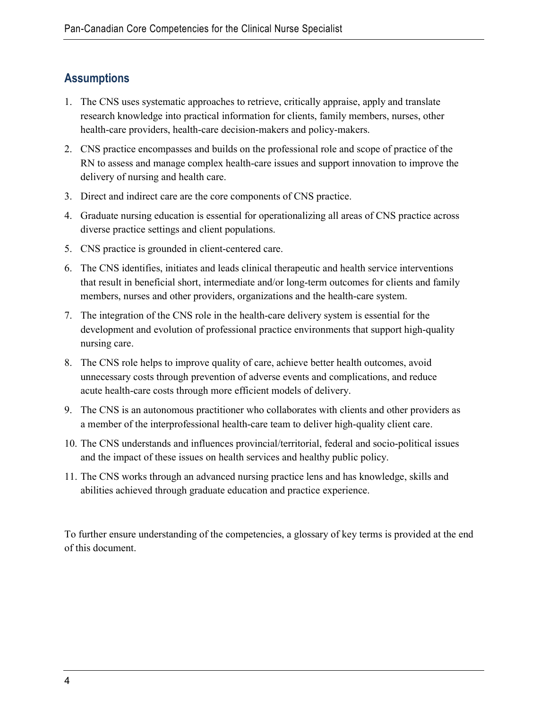#### **Assumptions**

- 1. The CNS uses systematic approaches to retrieve, critically appraise, apply and translate research knowledge into practical information for clients, family members, nurses, other health-care providers, health-care decision-makers and policy-makers.
- 2. CNS practice encompasses and builds on the professional role and scope of practice of the RN to assess and manage complex health-care issues and support innovation to improve the delivery of nursing and health care.
- 3. Direct and indirect care are the core components of CNS practice.
- 4. Graduate nursing education is essential for operationalizing all areas of CNS practice across diverse practice settings and client populations.
- 5. CNS practice is grounded in client-centered care.
- 6. The CNS identifies, initiates and leads clinical therapeutic and health service interventions that result in beneficial short, intermediate and/or long-term outcomes for clients and family members, nurses and other providers, organizations and the health-care system.
- 7. The integration of the CNS role in the health-care delivery system is essential for the development and evolution of professional practice environments that support high-quality nursing care.
- 8. The CNS role helps to improve quality of care, achieve better health outcomes, avoid unnecessary costs through prevention of adverse events and complications, and reduce acute health-care costs through more efficient models of delivery.
- 9. The CNS is an autonomous practitioner who collaborates with clients and other providers as a member of the interprofessional health-care team to deliver high-quality client care.
- 10. The CNS understands and influences provincial/territorial, federal and socio-political issues and the impact of these issues on health services and healthy public policy.
- 11. The CNS works through an advanced nursing practice lens and has knowledge, skills and abilities achieved through graduate education and practice experience.

To further ensure understanding of the competencies, a glossary of key terms is provided at the end of this document.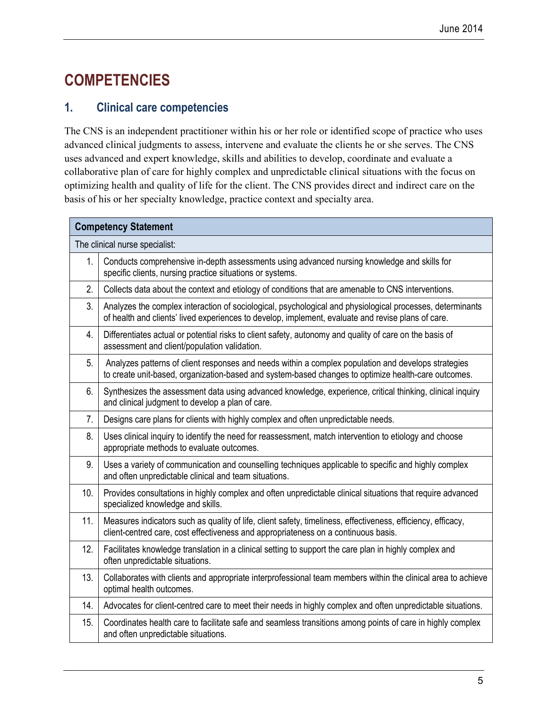## **COMPETENCIES**

#### **1. Clinical care competencies**

The CNS is an independent practitioner within his or her role or identified scope of practice who uses advanced clinical judgments to assess, intervene and evaluate the clients he or she serves. The CNS uses advanced and expert knowledge, skills and abilities to develop, coordinate and evaluate a collaborative plan of care for highly complex and unpredictable clinical situations with the focus on optimizing health and quality of life for the client. The CNS provides direct and indirect care on the basis of his or her specialty knowledge, practice context and specialty area.

| <b>Competency Statement</b>    |                                                                                                                                                                                                                 |  |
|--------------------------------|-----------------------------------------------------------------------------------------------------------------------------------------------------------------------------------------------------------------|--|
| The clinical nurse specialist: |                                                                                                                                                                                                                 |  |
| 1.                             | Conducts comprehensive in-depth assessments using advanced nursing knowledge and skills for<br>specific clients, nursing practice situations or systems.                                                        |  |
| 2.                             | Collects data about the context and etiology of conditions that are amenable to CNS interventions.                                                                                                              |  |
| 3.                             | Analyzes the complex interaction of sociological, psychological and physiological processes, determinants<br>of health and clients' lived experiences to develop, implement, evaluate and revise plans of care. |  |
| 4.                             | Differentiates actual or potential risks to client safety, autonomy and quality of care on the basis of<br>assessment and client/population validation.                                                         |  |
| 5 <sub>1</sub>                 | Analyzes patterns of client responses and needs within a complex population and develops strategies<br>to create unit-based, organization-based and system-based changes to optimize health-care outcomes.      |  |
| 6.                             | Synthesizes the assessment data using advanced knowledge, experience, critical thinking, clinical inquiry<br>and clinical judgment to develop a plan of care.                                                   |  |
| 7.                             | Designs care plans for clients with highly complex and often unpredictable needs.                                                                                                                               |  |
| 8.                             | Uses clinical inquiry to identify the need for reassessment, match intervention to etiology and choose<br>appropriate methods to evaluate outcomes.                                                             |  |
| 9.                             | Uses a variety of communication and counselling techniques applicable to specific and highly complex<br>and often unpredictable clinical and team situations.                                                   |  |
| 10.                            | Provides consultations in highly complex and often unpredictable clinical situations that require advanced<br>specialized knowledge and skills.                                                                 |  |
| 11.                            | Measures indicators such as quality of life, client safety, timeliness, effectiveness, efficiency, efficacy,<br>client-centred care, cost effectiveness and appropriateness on a continuous basis.              |  |
| 12.                            | Facilitates knowledge translation in a clinical setting to support the care plan in highly complex and<br>often unpredictable situations.                                                                       |  |
| 13.                            | Collaborates with clients and appropriate interprofessional team members within the clinical area to achieve<br>optimal health outcomes.                                                                        |  |
| 14.                            | Advocates for client-centred care to meet their needs in highly complex and often unpredictable situations.                                                                                                     |  |
| 15.                            | Coordinates health care to facilitate safe and seamless transitions among points of care in highly complex<br>and often unpredictable situations.                                                               |  |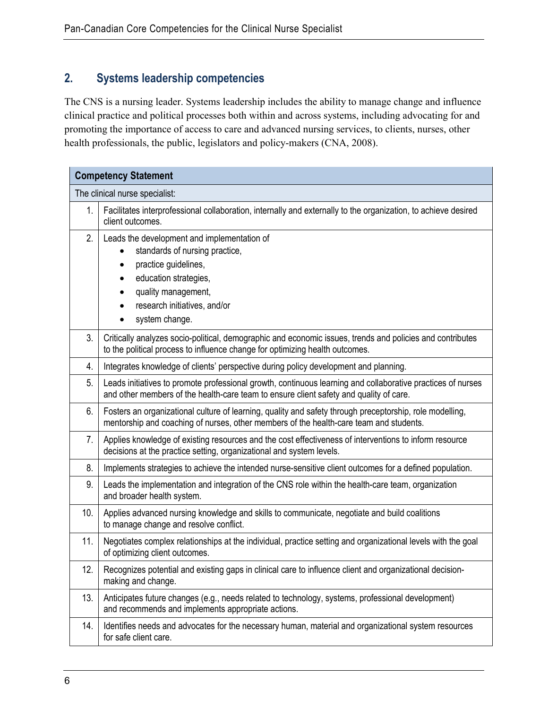#### **2. Systems leadership competencies**

The CNS is a nursing leader. Systems leadership includes the ability to manage change and influence clinical practice and political processes both within and across systems, including advocating for and promoting the importance of access to care and advanced nursing services, to clients, nurses, other health professionals, the public, legislators and policy-makers (CNA, 2008).

| <b>Competency Statement</b>    |                                                                                                                                                                                                         |  |
|--------------------------------|---------------------------------------------------------------------------------------------------------------------------------------------------------------------------------------------------------|--|
| The clinical nurse specialist: |                                                                                                                                                                                                         |  |
| 1.                             | Facilitates interprofessional collaboration, internally and externally to the organization, to achieve desired<br>client outcomes.                                                                      |  |
| 2.                             | Leads the development and implementation of<br>standards of nursing practice,<br>practice guidelines,<br>education strategies,<br>quality management,<br>research initiatives, and/or<br>system change. |  |
| 3.                             | Critically analyzes socio-political, demographic and economic issues, trends and policies and contributes<br>to the political process to influence change for optimizing health outcomes.               |  |
| 4.                             | Integrates knowledge of clients' perspective during policy development and planning.                                                                                                                    |  |
| 5.                             | Leads initiatives to promote professional growth, continuous learning and collaborative practices of nurses<br>and other members of the health-care team to ensure client safety and quality of care.   |  |
| 6.                             | Fosters an organizational culture of learning, quality and safety through preceptorship, role modelling,<br>mentorship and coaching of nurses, other members of the health-care team and students.      |  |
| 7.                             | Applies knowledge of existing resources and the cost effectiveness of interventions to inform resource<br>decisions at the practice setting, organizational and system levels.                          |  |
| 8.                             | Implements strategies to achieve the intended nurse-sensitive client outcomes for a defined population.                                                                                                 |  |
| 9.                             | Leads the implementation and integration of the CNS role within the health-care team, organization<br>and broader health system.                                                                        |  |
| 10.                            | Applies advanced nursing knowledge and skills to communicate, negotiate and build coalitions<br>to manage change and resolve conflict.                                                                  |  |
| 11.                            | Negotiates complex relationships at the individual, practice setting and organizational levels with the goal<br>of optimizing client outcomes.                                                          |  |
| 12.                            | Recognizes potential and existing gaps in clinical care to influence client and organizational decision-<br>making and change.                                                                          |  |
| 13.                            | Anticipates future changes (e.g., needs related to technology, systems, professional development)<br>and recommends and implements appropriate actions.                                                 |  |
| 14.                            | Identifies needs and advocates for the necessary human, material and organizational system resources<br>for safe client care.                                                                           |  |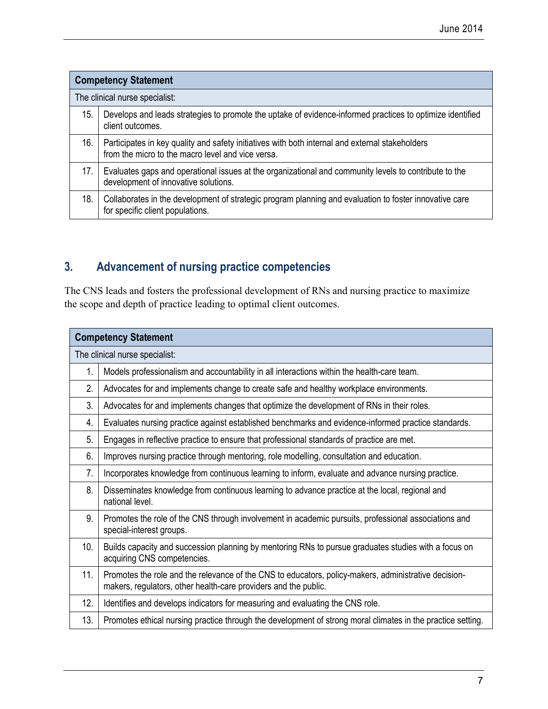| <b>Competency Statement</b>    |                                                                                                                                                      |  |
|--------------------------------|------------------------------------------------------------------------------------------------------------------------------------------------------|--|
| The clinical nurse specialist: |                                                                                                                                                      |  |
| 15.                            | Develops and leads strategies to promote the uptake of evidence-informed practices to optimize identified<br>client outcomes.                        |  |
| 16.                            | Participates in key quality and safety initiatives with both internal and external stakeholders<br>from the micro to the macro level and vice versa. |  |
| 17.                            | Evaluates gaps and operational issues at the organizational and community levels to contribute to the<br>development of innovative solutions.        |  |
| 18.                            | Collaborates in the development of strategic program planning and evaluation to foster innovative care<br>for specific client populations.           |  |

#### **3. Advancement of nursing practice competencies**

The CNS leads and fosters the professional development of RNs and nursing practice to maximize the scope and depth of practice leading to optimal client outcomes.

| <b>Competency Statement</b>    |                                                                                                                                                                         |  |
|--------------------------------|-------------------------------------------------------------------------------------------------------------------------------------------------------------------------|--|
| The clinical nurse specialist: |                                                                                                                                                                         |  |
| 1.                             | Models professionalism and accountability in all interactions within the health-care team.                                                                              |  |
| 2.                             | Advocates for and implements change to create safe and healthy workplace environments.                                                                                  |  |
| 3.                             | Advocates for and implements changes that optimize the development of RNs in their roles.                                                                               |  |
| 4.                             | Evaluates nursing practice against established benchmarks and evidence-informed practice standards.                                                                     |  |
| 5.                             | Engages in reflective practice to ensure that professional standards of practice are met.                                                                               |  |
| 6.                             | Improves nursing practice through mentoring, role modelling, consultation and education.                                                                                |  |
| 7.                             | Incorporates knowledge from continuous learning to inform, evaluate and advance nursing practice.                                                                       |  |
| 8.                             | Disseminates knowledge from continuous learning to advance practice at the local, regional and<br>national level.                                                       |  |
| 9.                             | Promotes the role of the CNS through involvement in academic pursuits, professional associations and<br>special-interest groups.                                        |  |
| 10.                            | Builds capacity and succession planning by mentoring RNs to pursue graduates studies with a focus on<br>acquiring CNS competencies.                                     |  |
| 11.                            | Promotes the role and the relevance of the CNS to educators, policy-makers, administrative decision-<br>makers, regulators, other health-care providers and the public. |  |
| 12.                            | Identifies and develops indicators for measuring and evaluating the CNS role.                                                                                           |  |
| 13.                            | Promotes ethical nursing practice through the development of strong moral climates in the practice setting.                                                             |  |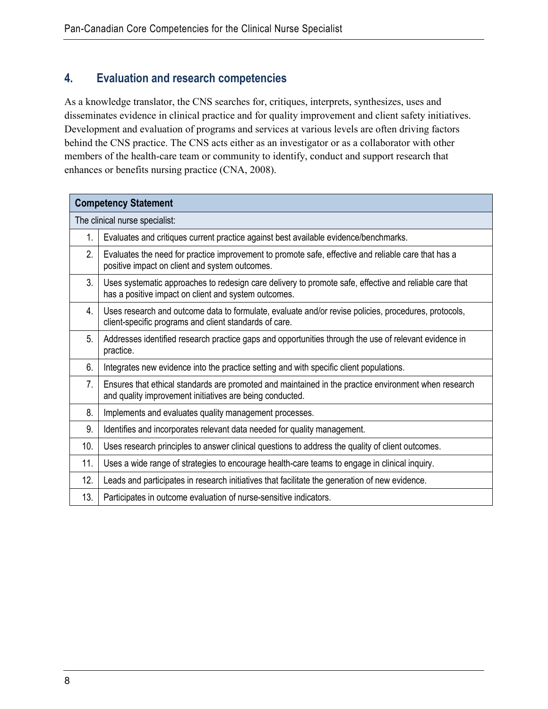#### **4. Evaluation and research competencies**

As a knowledge translator, the CNS searches for, critiques, interprets, synthesizes, uses and disseminates evidence in clinical practice and for quality improvement and client safety initiatives. Development and evaluation of programs and services at various levels are often driving factors behind the CNS practice. The CNS acts either as an investigator or as a collaborator with other members of the health-care team or community to identify, conduct and support research that enhances or benefits nursing practice (CNA, 2008).

| <b>Competency Statement</b>    |                                                                                                                                                                  |  |
|--------------------------------|------------------------------------------------------------------------------------------------------------------------------------------------------------------|--|
| The clinical nurse specialist: |                                                                                                                                                                  |  |
| 1.                             | Evaluates and critiques current practice against best available evidence/benchmarks.                                                                             |  |
| 2.                             | Evaluates the need for practice improvement to promote safe, effective and reliable care that has a<br>positive impact on client and system outcomes.            |  |
| 3.                             | Uses systematic approaches to redesign care delivery to promote safe, effective and reliable care that<br>has a positive impact on client and system outcomes.   |  |
| 4.                             | Uses research and outcome data to formulate, evaluate and/or revise policies, procedures, protocols,<br>client-specific programs and client standards of care.   |  |
| 5.                             | Addresses identified research practice gaps and opportunities through the use of relevant evidence in<br>practice.                                               |  |
| 6.                             | Integrates new evidence into the practice setting and with specific client populations.                                                                          |  |
| 7.                             | Ensures that ethical standards are promoted and maintained in the practice environment when research<br>and quality improvement initiatives are being conducted. |  |
| 8.                             | Implements and evaluates quality management processes.                                                                                                           |  |
| 9.                             | Identifies and incorporates relevant data needed for quality management.                                                                                         |  |
| 10.                            | Uses research principles to answer clinical questions to address the quality of client outcomes.                                                                 |  |
| 11.                            | Uses a wide range of strategies to encourage health-care teams to engage in clinical inquiry.                                                                    |  |
| 12.                            | Leads and participates in research initiatives that facilitate the generation of new evidence.                                                                   |  |
| 13.                            | Participates in outcome evaluation of nurse-sensitive indicators.                                                                                                |  |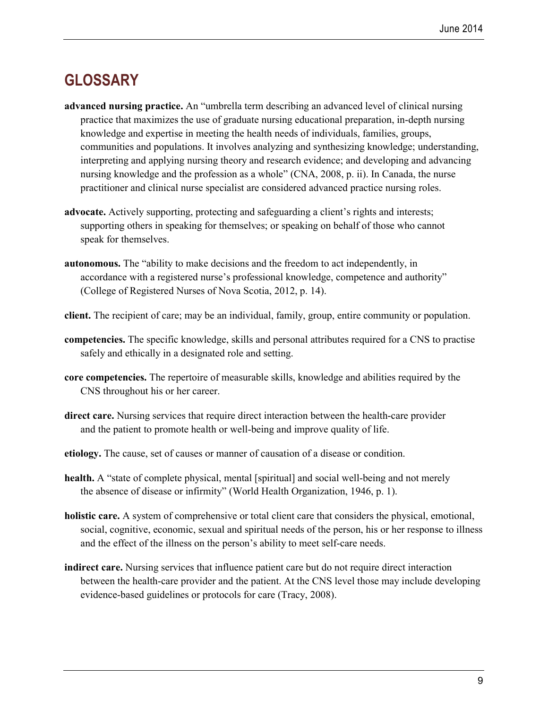### **GLOSSARY**

- **advanced nursing practice.** An "umbrella term describing an advanced level of clinical nursing practice that maximizes the use of graduate nursing educational preparation, in-depth nursing knowledge and expertise in meeting the health needs of individuals, families, groups, communities and populations. It involves analyzing and synthesizing knowledge; understanding, interpreting and applying nursing theory and research evidence; and developing and advancing nursing knowledge and the profession as a whole" (CNA, 2008, p. ii). In Canada, the nurse practitioner and clinical nurse specialist are considered advanced practice nursing roles.
- **advocate.** Actively supporting, protecting and safeguarding a client's rights and interests; supporting others in speaking for themselves; or speaking on behalf of those who cannot speak for themselves.
- **autonomous.** The "ability to make decisions and the freedom to act independently, in accordance with a registered nurse's professional knowledge, competence and authority" (College of Registered Nurses of Nova Scotia, 2012, p. 14).
- **client.** The recipient of care; may be an individual, family, group, entire community or population.
- **competencies.** The specific knowledge, skills and personal attributes required for a CNS to practise safely and ethically in a designated role and setting.
- **core competencies.** The repertoire of measurable skills, knowledge and abilities required by the CNS throughout his or her career.
- **direct care.** Nursing services that require direct interaction between the health-care provider and the patient to promote health or well-being and improve quality of life.
- **etiology.** The cause, set of causes or manner of causation of a disease or condition.
- **health.** A "state of complete physical, mental [spiritual] and social well-being and not merely the absence of disease or infirmity" (World Health Organization, 1946, p. 1).
- **holistic care.** A system of comprehensive or total client care that considers the physical, emotional, social, cognitive, economic, sexual and spiritual needs of the person, his or her response to illness and the effect of the illness on the person's ability to meet self-care needs.
- **indirect care.** Nursing services that influence patient care but do not require direct interaction between the health-care provider and the patient. At the CNS level those may include developing evidence-based guidelines or protocols for care (Tracy, 2008).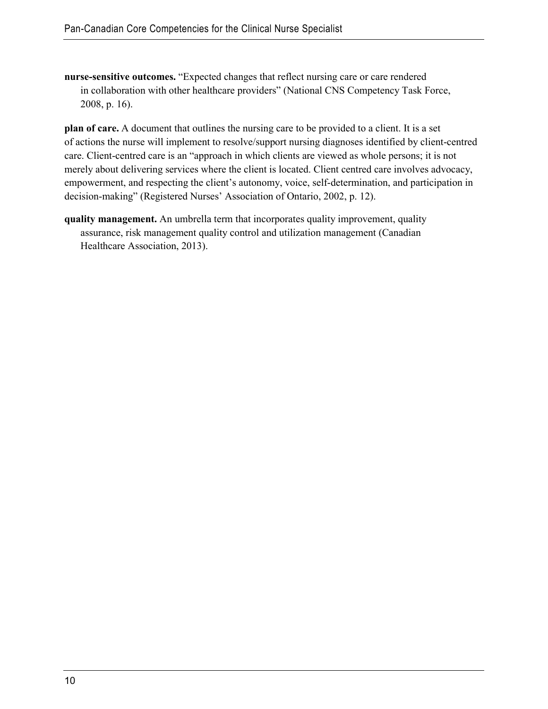**nurse-sensitive outcomes.** "Expected changes that reflect nursing care or care rendered in collaboration with other healthcare providers" (National CNS Competency Task Force, 2008, p. 16).

**plan of care.** A document that outlines the [nursing care](http://en.wikipedia.org/wiki/Nursing_care) to be provided to a client. It is a set of actions the [nurse](http://en.wikipedia.org/wiki/Nurse) will implement to resolve/support [nursing diagnoses](http://en.wikipedia.org/wiki/Nursing_diagnoses) identified by client-centred care. Client-centred care is an "approach in which clients are viewed as whole persons; it is not merely about delivering services where the client is located. Client centred care involves advocacy, empowerment, and respecting the client's autonomy, voice, self-determination, and participation in decision-making" (Registered Nurses' Association of Ontario, 2002, p. 12).

**quality management.** An umbrella term that incorporates quality improvement, quality assurance, risk management quality control and utilization management (Canadian Healthcare Association, 2013).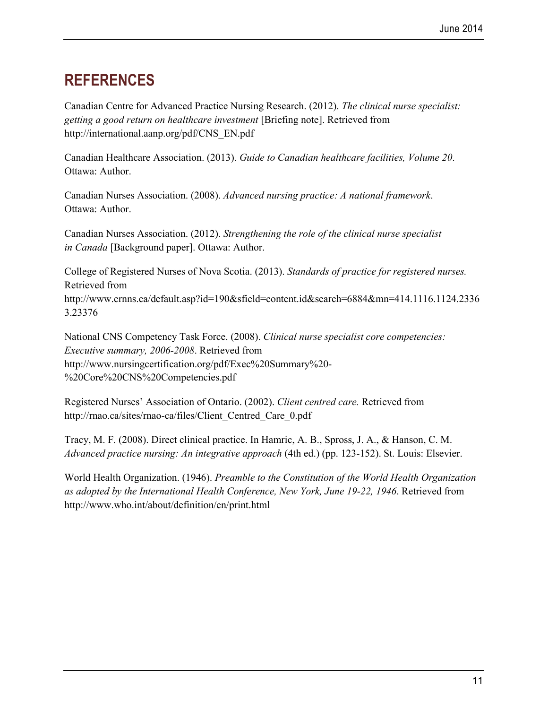## **REFERENCES**

Canadian Centre for Advanced Practice Nursing Research. (2012). *The clinical nurse specialist: getting a good return on healthcare investment* [Briefing note]. Retrieved from [http://international.aanp.org/pdf/CNS\\_EN.pdf](http://international.aanp.org/pdf/CNS_EN.pdf) 

Canadian Healthcare Association. (2013). *Guide to Canadian healthcare facilities, Volume 20*. Ottawa: Author.

Canadian Nurses Association. (2008). *Advanced nursing practice: A national framework*. Ottawa: Author.

Canadian Nurses Association. (2012). *Strengthening the role of the clinical nurse specialist in Canada* [Background paper]. Ottawa: Author.

College of Registered Nurses of Nova Scotia. (2013). *Standards of practice for registered nurses.* Retrieved from [http://www.crnns.ca/default.asp?id=190&sfield=content.id&search=6884&mn=414.](http://www.crnns.ca/default.asp?id=190&sfield=content.id&search=6884&mn=414)1116.1124.2336 3.23376

National CNS Competency Task Force. (2008). *Clinical nurse specialist core competencies: Executive summary, 2006-2008*. Retrieved from [http://www.nursingcertification.org/pdf/Exec%20Summary%20-](http://www.nursingcertification.org/pdf/Exec%20Summary%20-%20Core%20CNS%20Competencies.pdf) [%20Core%20CNS%20Competencies.pdf](http://www.nursingcertification.org/pdf/Exec%20Summary%20-%20Core%20CNS%20Competencies.pdf)

Registered Nurses' Association of Ontario. (2002). *Client centred care.* Retrieved from [http://rnao.ca/sites/rnao-ca/files/Client\\_Centred\\_Care\\_0.pdf](http://rnao.ca/sites/rnao-ca/files/Client_Centred_Care_0.pdf)

Tracy, M. F. (2008). Direct clinical practice. In Hamric, A. B., Spross, J. A., & Hanson, C. M. *Advanced practice nursing: An integrative approach* (4th ed.) (pp. 123-152). St. Louis: Elsevier.

World Health Organization. (1946). *Preamble to the Constitution of the World Health Organization as adopted by the International Health Conference, New York, June 19-22, 1946*. Retrieved from <http://www.who.int/about/definition/en/print.html>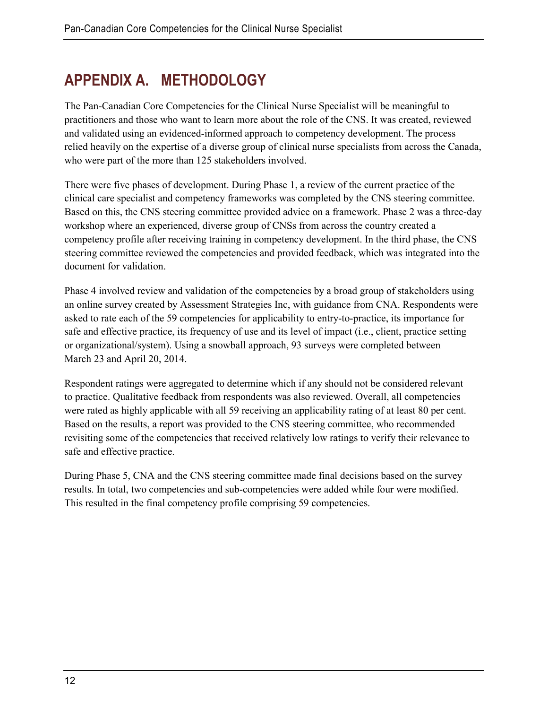## **APPENDIX A. METHODOLOGY**

The Pan-Canadian Core Competencies for the Clinical Nurse Specialist will be meaningful to practitioners and those who want to learn more about the role of the CNS. It was created, reviewed and validated using an evidenced-informed approach to competency development. The process relied heavily on the expertise of a diverse group of clinical nurse specialists from across the Canada, who were part of the more than 125 stakeholders involved.

There were five phases of development. During Phase 1, a review of the current practice of the clinical care specialist and competency frameworks was completed by the CNS steering committee. Based on this, the CNS steering committee provided advice on a framework. Phase 2 was a three-day workshop where an experienced, diverse group of CNSs from across the country created a competency profile after receiving training in competency development. In the third phase, the CNS steering committee reviewed the competencies and provided feedback, which was integrated into the document for validation.

Phase 4 involved review and validation of the competencies by a broad group of stakeholders using an online survey created by Assessment Strategies Inc, with guidance from CNA. Respondents were asked to rate each of the 59 competencies for applicability to entry-to-practice, its importance for safe and effective practice, its frequency of use and its level of impact (i.e., client, practice setting or organizational/system). Using a snowball approach, 93 surveys were completed between March 23 and April 20, 2014.

Respondent ratings were aggregated to determine which if any should not be considered relevant to practice. Qualitative feedback from respondents was also reviewed. Overall, all competencies were rated as highly applicable with all 59 receiving an applicability rating of at least 80 per cent. Based on the results, a report was provided to the CNS steering committee, who recommended revisiting some of the competencies that received relatively low ratings to verify their relevance to safe and effective practice.

During Phase 5, CNA and the CNS steering committee made final decisions based on the survey results. In total, two competencies and sub-competencies were added while four were modified. This resulted in the final competency profile comprising 59 competencies.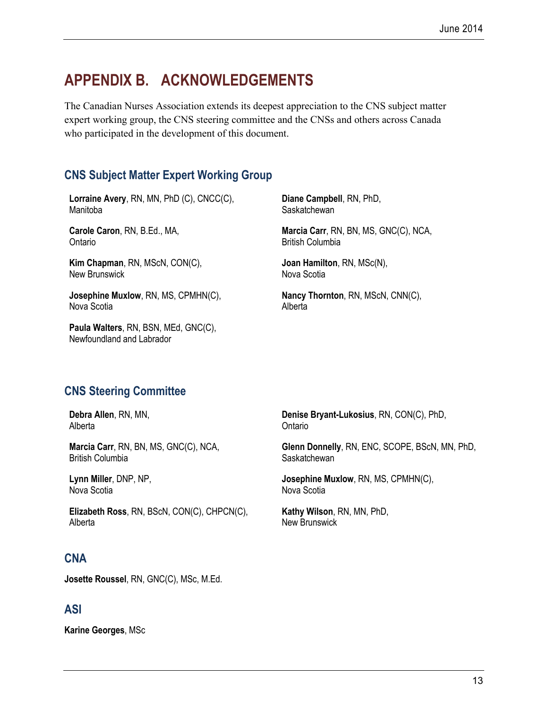## **APPENDIX B. ACKNOWLEDGEMENTS**

The Canadian Nurses Association extends its deepest appreciation to the CNS subject matter expert working group, the CNS steering committee and the CNSs and others across Canada who participated in the development of this document.

#### **CNS Subject Matter Expert Working Group**

**Lorraine Avery**, RN, MN, PhD (C), CNCC(C), Manitoba

**Carole Caron**, RN, B.Ed., MA, Ontario

**Kim Chapman**, RN, MScN, CON(C), New Brunswick

**Josephine Muxlow**, RN, MS, CPMHN(C), Nova Scotia

**Paula Walters**, RN, BSN, MEd, GNC(C), Newfoundland and Labrador

**Diane Campbell**, RN, PhD, **Saskatchewan** 

**Marcia Carr**, RN, BN, MS, GNC(C), NCA, British Columbia

**Joan Hamilton**, RN, MSc(N), Nova Scotia

**Nancy Thornton**, RN, MScN, CNN(C), Alberta

#### **CNS Steering Committee**

**Debra Allen**, RN, MN, **Alberta** 

**Marcia Carr**, RN, BN, MS, GNC(C), NCA, British Columbia

**Lynn Miller**, DNP, NP, Nova Scotia

**Elizabeth Ross**, RN, BScN, CON(C), CHPCN(C), Alberta

#### **CNA**

**Josette Roussel**, RN, GNC(C), MSc, M.Ed.

#### **ASI**

**Karine Georges**, MSc

**Denise Bryant-Lukosius**, RN, CON(C), PhD, Ontario

**Glenn Donnelly**, RN, ENC, SCOPE, BScN, MN, PhD, **Saskatchewan** 

**Josephine Muxlow**, RN, MS, CPMHN(C), Nova Scotia

**Kathy Wilson**, RN, MN, PhD, New Brunswick